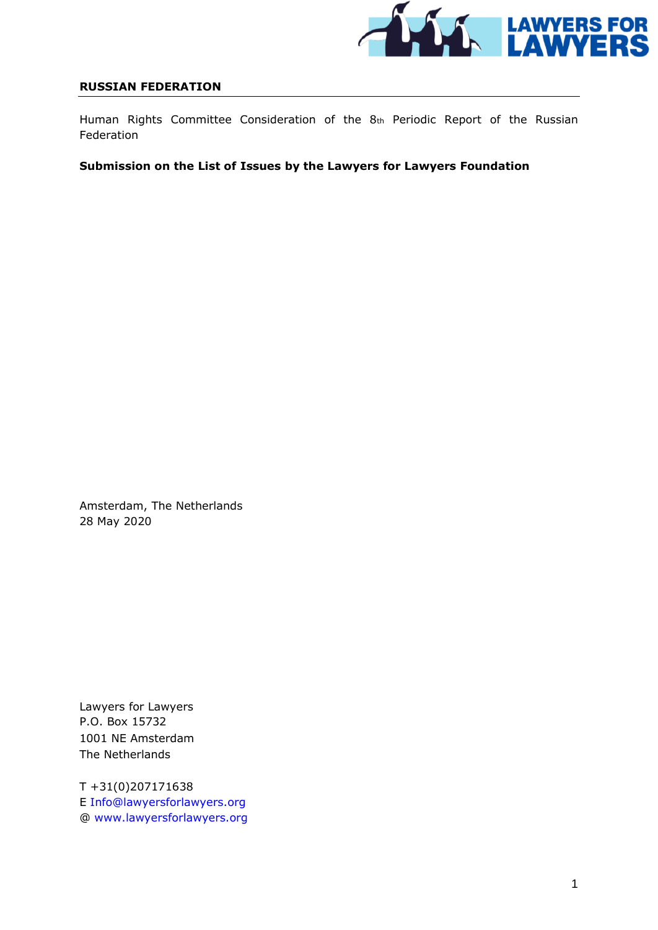

#### **RUSSIAN FEDERATION**

Human Rights Committee Consideration of the 8th Periodic Report of the Russian Federation

### **Submission on the List of Issues by the Lawyers for Lawyers Foundation**

Amsterdam, The Netherlands 28 May 2020

Lawyers for Lawyers P.O. Box 15732 1001 NE Amsterdam The Netherlands

T +31(0)207171638 E Info@lawyersforlawyers.org @ www.lawyersforlawyers.org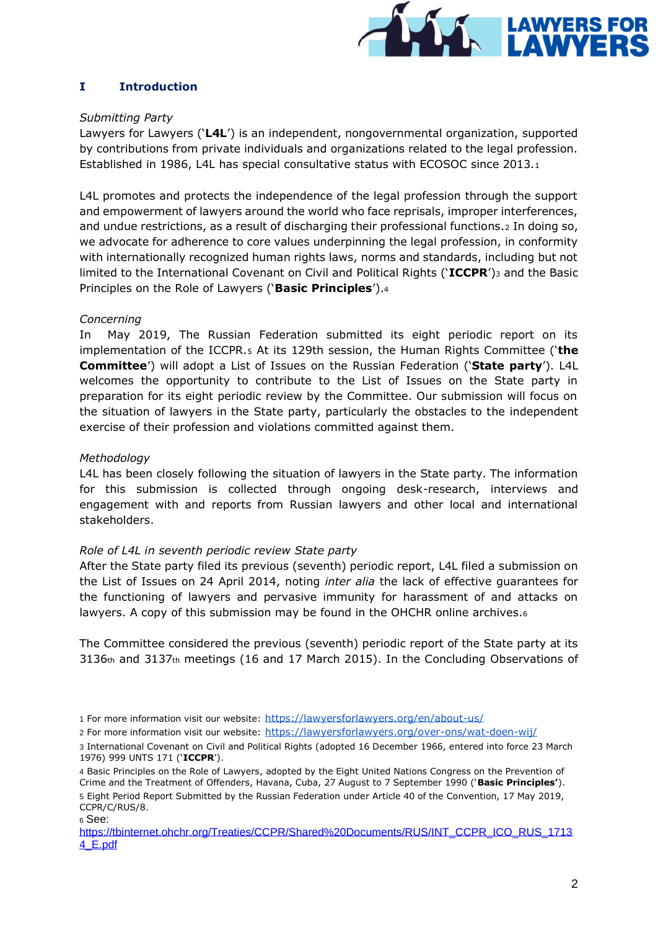

# **I Introduction**

### *Submitting Party*

Lawyers for Lawyers ('**L4L**') is an independent, nongovernmental organization, supported by contributions from private individuals and organizations related to the legal profession. Established in 1986, L4L has special consultative status with ECOSOC since 2013.<sup>1</sup>

L4L promotes and protects the independence of the legal profession through the support and empowerment of lawyers around the world who face reprisals, improper interferences, and undue restrictions, as a result of discharging their professional functions.2 In doing so, we advocate for adherence to core values underpinning the legal profession, in conformity with internationally recognized human rights laws, norms and standards, including but not limited to the International Covenant on Civil and Political Rights ('**ICCPR**')<sup>3</sup> and the Basic Principles on the Role of Lawyers ('**Basic Principles**').<sup>4</sup>

# *Concerning*

In May 2019, The Russian Federation submitted its eight periodic report on its implementation of the ICCPR.<sup>5</sup> At its 129th session, the Human Rights Committee ('**the Committee**') will adopt a List of Issues on the Russian Federation ('**State party**'). L4L welcomes the opportunity to contribute to the List of Issues on the State party in preparation for its eight periodic review by the Committee. Our submission will focus on the situation of lawyers in the State party, particularly the obstacles to the independent exercise of their profession and violations committed against them.

# *Methodology*

L4L has been closely following the situation of lawyers in the State party. The information for this submission is collected through ongoing desk-research, interviews and engagement with and reports from Russian lawyers and other local and international stakeholders.

# *Role of L4L in seventh periodic review State party*

After the State party filed its previous (seventh) periodic report, L4L filed a submission on the List of Issues on 24 April 2014, noting *inter alia* the lack of effective guarantees for the functioning of lawyers and pervasive immunity for harassment of and attacks on lawyers. A copy of this submission may be found in the OHCHR online archives.<sup>6</sup>

The Committee considered the previous (seventh) periodic report of the State party at its 3136th and 3137th meetings (16 and 17 March 2015). In the Concluding Observations of

<sup>1</sup> For more information visit our website: <https://lawyersforlawyers.org/en/about-us/>

<sup>2</sup> For more information visit our website: <https://lawyersforlawyers.org/over-ons/wat-doen-wij/>

<sup>3</sup> International Covenant on Civil and Political Rights (adopted 16 December 1966, entered into force 23 March 1976) 999 UNTS 171 ('**ICCPR**').

<sup>4</sup> Basic Principles on the Role of Lawyers, adopted by the Eight United Nations Congress on the Prevention of Crime and the Treatment of Offenders, Havana, Cuba, 27 August to 7 September 1990 ('**Basic Principles'**). 5 Eight Period Report Submitted by the Russian Federation under Article 40 of the Convention, 17 May 2019, CCPR/C/RUS/8. <sup>6</sup> See:

[https://tbinternet.ohchr.org/Treaties/CCPR/Shared%20Documents/RUS/INT\\_CCPR\\_ICO\\_RUS\\_1713](https://tbinternet.ohchr.org/Treaties/CCPR/Shared%20Documents/RUS/INT_CCPR_ICO_RUS_17134_E.pdf) [4\\_E.pdf](https://tbinternet.ohchr.org/Treaties/CCPR/Shared%20Documents/RUS/INT_CCPR_ICO_RUS_17134_E.pdf)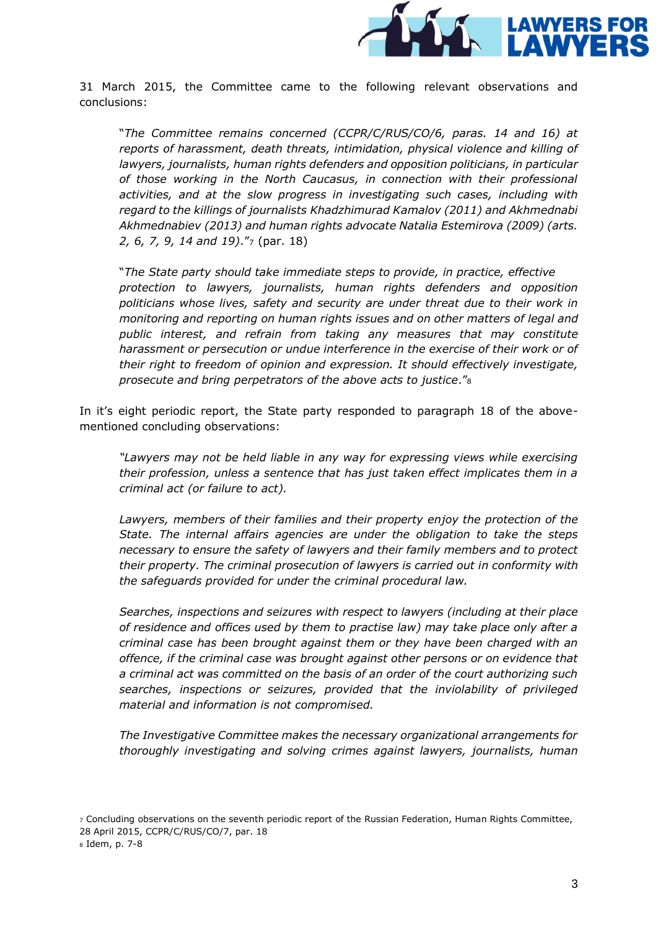

31 March 2015, the Committee came to the following relevant observations and conclusions:

"*The Committee remains concerned (CCPR/C/RUS/CO/6, paras. 14 and 16) at reports of harassment, death threats, intimidation, physical violence and killing of lawyers, journalists, human rights defenders and opposition politicians, in particular of those working in the North Caucasus, in connection with their professional activities, and at the slow progress in investigating such cases, including with regard to the killings of journalists Khadzhimurad Kamalov (2011) and Akhmednabi Akhmednabiev (2013) and human rights advocate Natalia Estemirova (2009) (arts. 2, 6, 7, 9, 14 and 19)*."<sup>7</sup> (par. 18)

"*The State party should take immediate steps to provide, in practice, effective protection to lawyers, journalists, human rights defenders and opposition politicians whose lives, safety and security are under threat due to their work in monitoring and reporting on human rights issues and on other matters of legal and public interest, and refrain from taking any measures that may constitute harassment or persecution or undue interference in the exercise of their work or of their right to freedom of opinion and expression. It should effectively investigate, prosecute and bring perpetrators of the above acts to justice*."<sup>8</sup>

In it's eight periodic report, the State party responded to paragraph 18 of the abovementioned concluding observations:

*"Lawyers may not be held liable in any way for expressing views while exercising their profession, unless a sentence that has just taken effect implicates them in a criminal act (or failure to act).* 

Lawyers, members of their families and their property enjoy the protection of the *State. The internal affairs agencies are under the obligation to take the steps necessary to ensure the safety of lawyers and their family members and to protect their property. The criminal prosecution of lawyers is carried out in conformity with the safeguards provided for under the criminal procedural law.* 

*Searches, inspections and seizures with respect to lawyers (including at their place of residence and offices used by them to practise law) may take place only after a criminal case has been brought against them or they have been charged with an offence, if the criminal case was brought against other persons or on evidence that a criminal act was committed on the basis of an order of the court authorizing such searches, inspections or seizures, provided that the inviolability of privileged material and information is not compromised.* 

*The Investigative Committee makes the necessary organizational arrangements for thoroughly investigating and solving crimes against lawyers, journalists, human* 

<sup>7</sup> Concluding observations on the seventh periodic report of the Russian Federation, Human Rights Committee, 28 April 2015, CCPR/C/RUS/CO/7, par. 18 <sup>8</sup> Idem, p. 7-8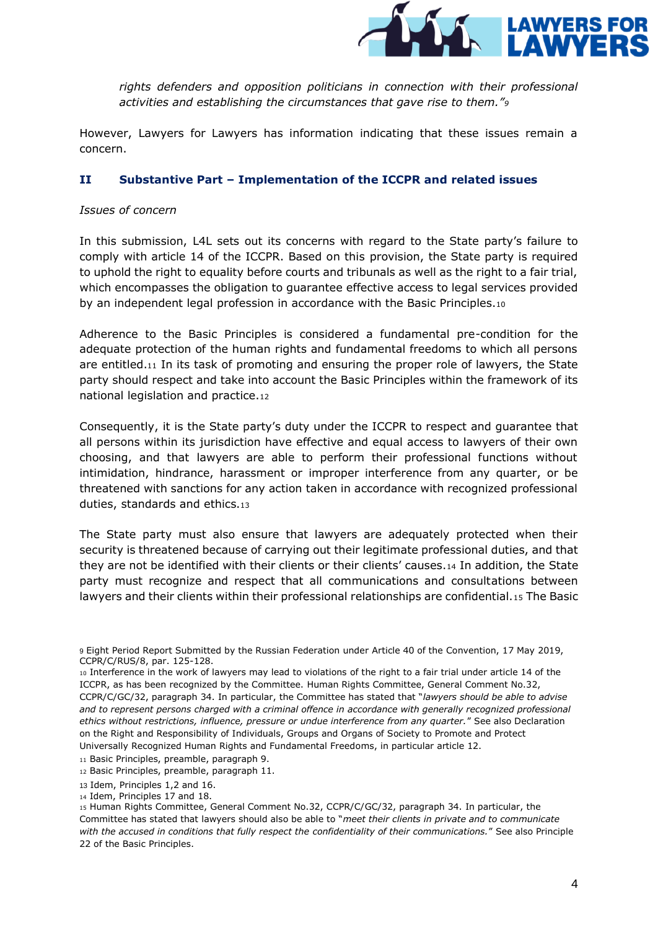

rights defenders and opposition politicians in connection with their professional *activities and establishing the circumstances that gave rise to them."<sup>9</sup>*

However, Lawyers for Lawyers has information indicating that these issues remain a concern.

#### **II Substantive Part – Implementation of the ICCPR and related issues**

#### *Issues of concern*

In this submission, L4L sets out its concerns with regard to the State party's failure to comply with article 14 of the ICCPR. Based on this provision, the State party is required to uphold the right to equality before courts and tribunals as well as the right to a fair trial, which encompasses the obligation to guarantee effective access to legal services provided by an independent legal profession in accordance with the Basic Principles.<sup>10</sup>

Adherence to the Basic Principles is considered a fundamental pre-condition for the adequate protection of the human rights and fundamental freedoms to which all persons are entitled.<sup>11</sup> In its task of promoting and ensuring the proper role of lawyers, the State party should respect and take into account the Basic Principles within the framework of its national legislation and practice.<sup>12</sup>

Consequently, it is the State party's duty under the ICCPR to respect and guarantee that all persons within its jurisdiction have effective and equal access to lawyers of their own choosing, and that lawyers are able to perform their professional functions without intimidation, hindrance, harassment or improper interference from any quarter, or be threatened with sanctions for any action taken in accordance with recognized professional duties, standards and ethics.<sup>13</sup>

The State party must also ensure that lawyers are adequately protected when their security is threatened because of carrying out their legitimate professional duties, and that they are not be identified with their clients or their clients' causes.<sup>14</sup> In addition, the State party must recognize and respect that all communications and consultations between lawyers and their clients within their professional relationships are confidential.<sup>15</sup> The Basic

<sup>9</sup> Eight Period Report Submitted by the Russian Federation under Article 40 of the Convention, 17 May 2019, CCPR/C/RUS/8, par. 125-128.

<sup>10</sup> Interference in the work of lawyers may lead to violations of the right to a fair trial under article 14 of the ICCPR, as has been recognized by the Committee. Human Rights Committee, General Comment No.32, CCPR/C/GC/32, paragraph 34. In particular, the Committee has stated that "*lawyers should be able to advise*  and to represent persons charged with a criminal offence in accordance with generally recognized professional *ethics without restrictions, influence, pressure or undue interference from any quarter.*" See also Declaration on the Right and Responsibility of Individuals, Groups and Organs of Society to Promote and Protect Universally Recognized Human Rights and Fundamental Freedoms, in particular article 12.

<sup>11</sup> Basic Principles, preamble, paragraph 9.

<sup>12</sup> Basic Principles, preamble, paragraph 11.

<sup>13</sup> Idem, Principles 1,2 and 16.

<sup>14</sup> Idem, Principles 17 and 18.

<sup>15</sup> Human Rights Committee, General Comment No.32, CCPR/C/GC/32, paragraph 34. In particular, the Committee has stated that lawyers should also be able to "*meet their clients in private and to communicate with the accused in conditions that fully respect the confidentiality of their communications.*" See also Principle 22 of the Basic Principles.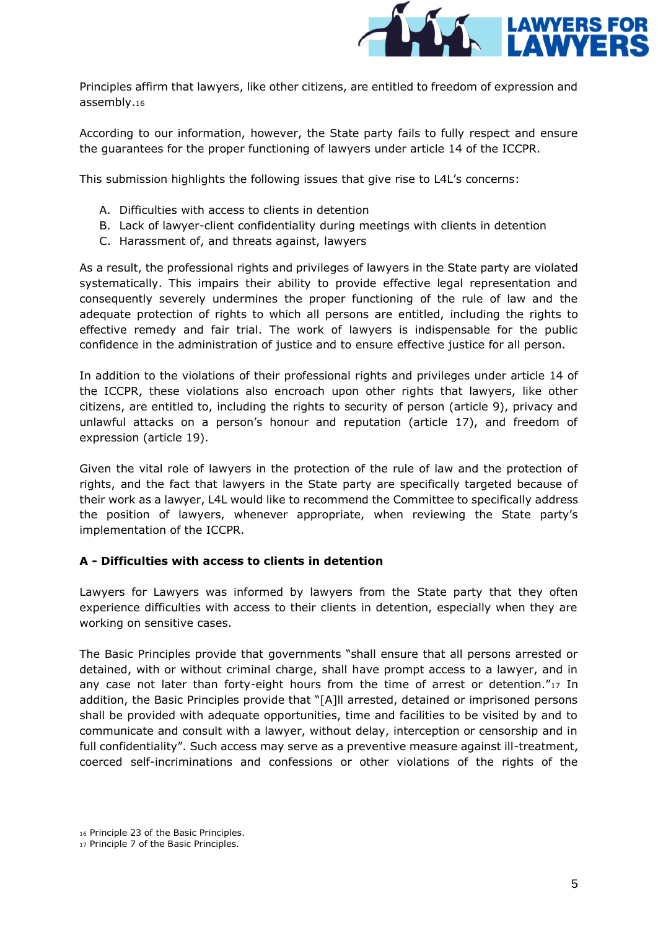

Principles affirm that lawyers, like other citizens, are entitled to freedom of expression and assembly.<sup>16</sup>

According to our information, however, the State party fails to fully respect and ensure the guarantees for the proper functioning of lawyers under article 14 of the ICCPR.

This submission highlights the following issues that give rise to L4L's concerns:

- A. Difficulties with access to clients in detention
- B. Lack of lawyer-client confidentiality during meetings with clients in detention
- C. Harassment of, and threats against, lawyers

As a result, the professional rights and privileges of lawyers in the State party are violated systematically. This impairs their ability to provide effective legal representation and consequently severely undermines the proper functioning of the rule of law and the adequate protection of rights to which all persons are entitled, including the rights to effective remedy and fair trial. The work of lawyers is indispensable for the public confidence in the administration of justice and to ensure effective justice for all person.

In addition to the violations of their professional rights and privileges under article 14 of the ICCPR, these violations also encroach upon other rights that lawyers, like other citizens, are entitled to, including the rights to security of person (article 9), privacy and unlawful attacks on a person's honour and reputation (article 17), and freedom of expression (article 19).

Given the vital role of lawyers in the protection of the rule of law and the protection of rights, and the fact that lawyers in the State party are specifically targeted because of their work as a lawyer, L4L would like to recommend the Committee to specifically address the position of lawyers, whenever appropriate, when reviewing the State party's implementation of the ICCPR.

# **A - Difficulties with access to clients in detention**

Lawyers for Lawyers was informed by lawyers from the State party that they often experience difficulties with access to their clients in detention, especially when they are working on sensitive cases.

The Basic Principles provide that governments "shall ensure that all persons arrested or detained, with or without criminal charge, shall have prompt access to a lawyer, and in any case not later than forty-eight hours from the time of arrest or detention."17 In addition, the Basic Principles provide that "[A]ll arrested, detained or imprisoned persons shall be provided with adequate opportunities, time and facilities to be visited by and to communicate and consult with a lawyer, without delay, interception or censorship and in full confidentiality". Such access may serve as a preventive measure against ill-treatment, coerced self-incriminations and confessions or other violations of the rights of the

<sup>16</sup> Principle 23 of the Basic Principles.

<sup>17</sup> Principle 7 of the Basic Principles.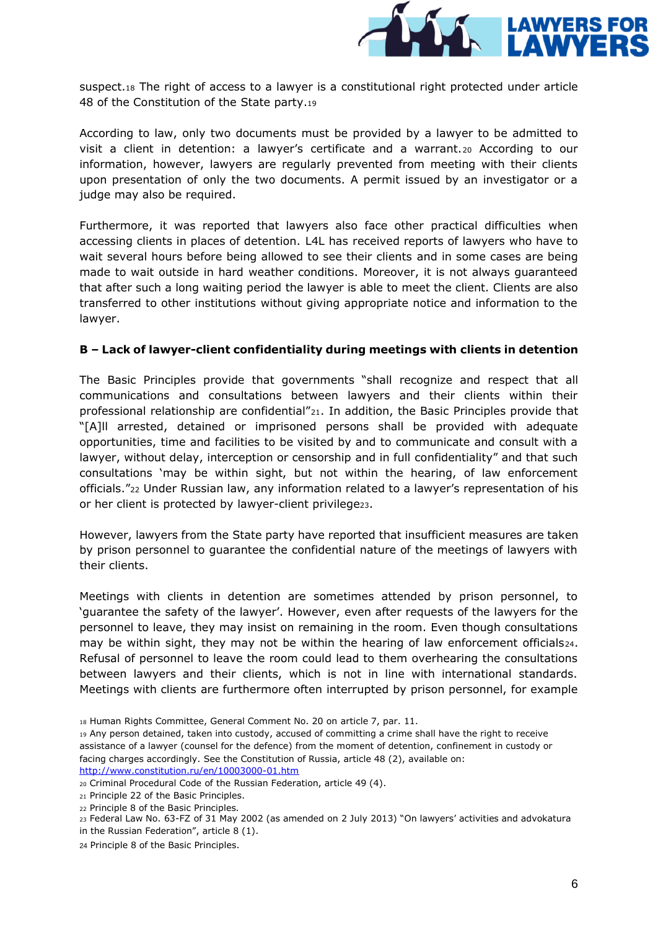

suspect.<sup>18</sup> The right of access to a lawyer is a constitutional right protected under article 48 of the Constitution of the State party.<sup>19</sup>

According to law, only two documents must be provided by a lawyer to be admitted to visit a client in detention: a lawyer's certificate and a warrant.<sup>20</sup> According to our information, however, lawyers are regularly prevented from meeting with their clients upon presentation of only the two documents. A permit issued by an investigator or a judge may also be required.

Furthermore, it was reported that lawyers also face other practical difficulties when accessing clients in places of detention. L4L has received reports of lawyers who have to wait several hours before being allowed to see their clients and in some cases are being made to wait outside in hard weather conditions. Moreover, it is not always guaranteed that after such a long waiting period the lawyer is able to meet the client. Clients are also transferred to other institutions without giving appropriate notice and information to the lawyer.

#### **B – Lack of lawyer-client confidentiality during meetings with clients in detention**

The Basic Principles provide that governments "shall recognize and respect that all communications and consultations between lawyers and their clients within their professional relationship are confidential"21. In addition, the Basic Principles provide that "[A]ll arrested, detained or imprisoned persons shall be provided with adequate opportunities, time and facilities to be visited by and to communicate and consult with a lawyer, without delay, interception or censorship and in full confidentiality" and that such consultations 'may be within sight, but not within the hearing, of law enforcement officials."<sup>22</sup> Under Russian law, any information related to a lawyer's representation of his or her client is protected by lawyer-client privilege23.

However, lawyers from the State party have reported that insufficient measures are taken by prison personnel to guarantee the confidential nature of the meetings of lawyers with their clients.

Meetings with clients in detention are sometimes attended by prison personnel, to 'guarantee the safety of the lawyer'. However, even after requests of the lawyers for the personnel to leave, they may insist on remaining in the room. Even though consultations may be within sight, they may not be within the hearing of law enforcement officials24. Refusal of personnel to leave the room could lead to them overhearing the consultations between lawyers and their clients, which is not in line with international standards. Meetings with clients are furthermore often interrupted by prison personnel, for example

- <sup>18</sup> Human Rights Committee, General Comment No. 20 on article 7, par. 11.
- <sup>19</sup> Any person detained, taken into custody, accused of committing a crime shall have the right to receive assistance of a lawyer (counsel for the defence) from the moment of detention, confinement in custody or facing charges accordingly. See the Constitution of Russia, article 48 (2), available on: <http://www.constitution.ru/en/10003000-01.htm>

<sup>20</sup> Criminal Procedural Code of the Russian Federation, article 49 (4).

<sup>21</sup> Principle 22 of the Basic Principles.

<sup>22</sup> Principle 8 of the Basic Principles.

<sup>23</sup> Federal Law No. 63-FZ of 31 May 2002 (as amended on 2 July 2013) "On lawyers' activities and advokatura

in the Russian Federation", article 8 (1).

<sup>24</sup> Principle 8 of the Basic Principles.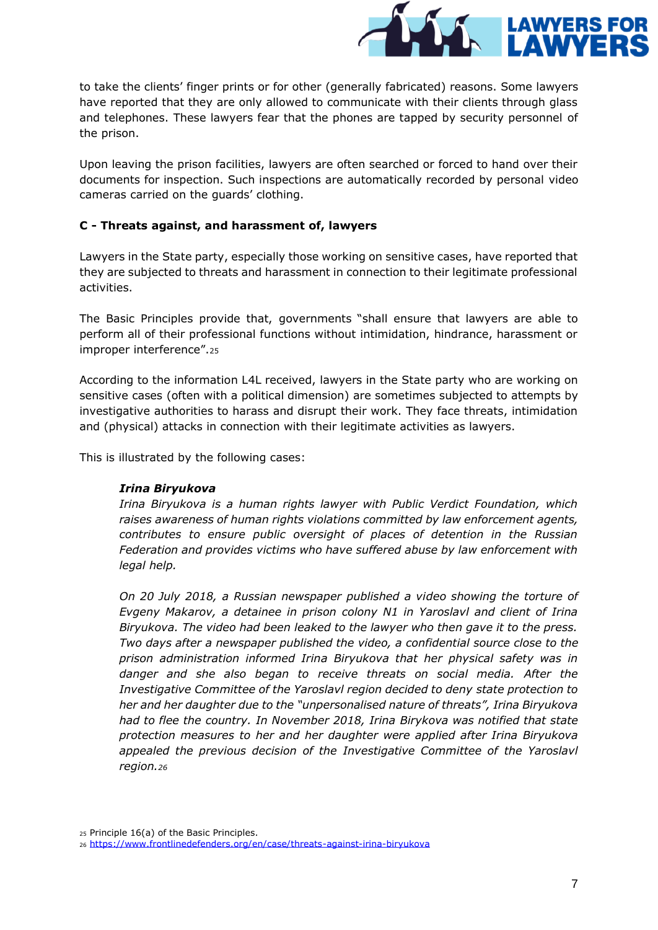

to take the clients' finger prints or for other (generally fabricated) reasons. Some lawyers have reported that they are only allowed to communicate with their clients through glass and telephones. These lawyers fear that the phones are tapped by security personnel of the prison.

Upon leaving the prison facilities, lawyers are often searched or forced to hand over their documents for inspection. Such inspections are automatically recorded by personal video cameras carried on the guards' clothing.

# **C - Threats against, and harassment of, lawyers**

Lawyers in the State party, especially those working on sensitive cases, have reported that they are subjected to threats and harassment in connection to their legitimate professional activities.

The Basic Principles provide that, governments "shall ensure that lawyers are able to perform all of their professional functions without intimidation, hindrance, harassment or improper interference".<sup>25</sup>

According to the information L4L received, lawyers in the State party who are working on sensitive cases (often with a political dimension) are sometimes subjected to attempts by investigative authorities to harass and disrupt their work. They face threats, intimidation and (physical) attacks in connection with their legitimate activities as lawyers.

This is illustrated by the following cases:

# *Irina Biryukova*

*Irina Biryukova is a human rights lawyer with Public Verdict Foundation, which raises awareness of human rights violations committed by law enforcement agents, contributes to ensure public oversight of places of detention in the Russian Federation and provides victims who have suffered abuse by law enforcement with legal help.* 

*On 20 July 2018, a Russian newspaper published a video showing the torture of Evgeny Makarov, a detainee in prison colony N1 in Yaroslavl and client of Irina Biryukova. The video had been leaked to the lawyer who then gave it to the press. Two days after a newspaper published the video, a confidential source close to the prison administration informed Irina Biryukova that her physical safety was in danger and she also began to receive threats on social media. After the Investigative Committee of the Yaroslavl region decided to deny state protection to her and her daughter due to the "unpersonalised nature of threats", Irina Biryukova had to flee the country. In November 2018, Irina Birykova was notified that state protection measures to her and her daughter were applied after Irina Biryukova*  appealed the previous decision of the Investigative Committee of the Yaroslavl *region.<sup>26</sup>*

<sup>25</sup> Principle 16(a) of the Basic Principles.

<sup>26</sup> <https://www.frontlinedefenders.org/en/case/threats-against-irina-biryukova>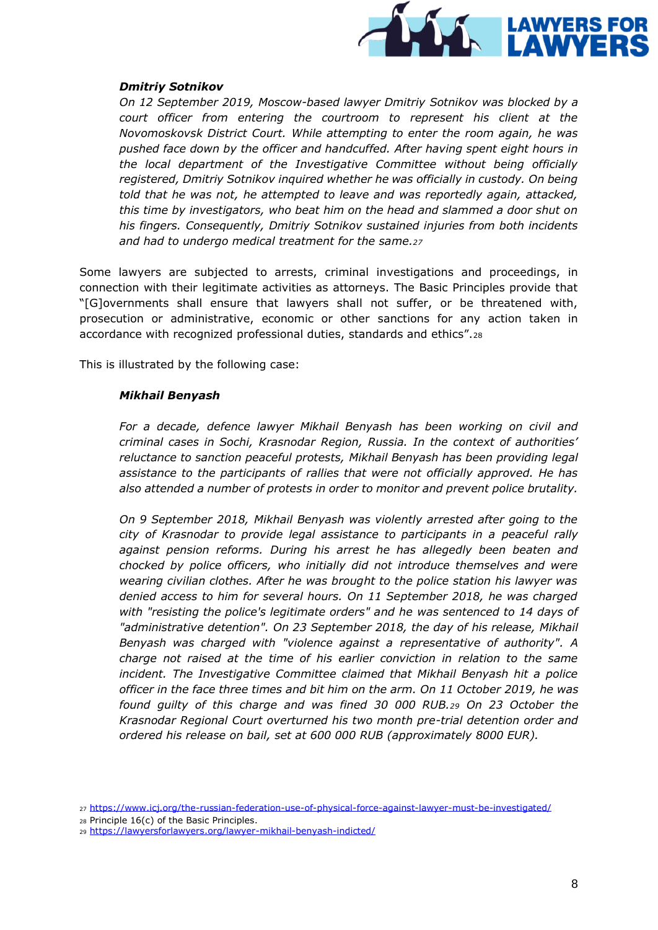

#### *Dmitriy Sotnikov*

*On 12 September 2019, Moscow-based lawyer Dmitriy Sotnikov was blocked by a court officer from entering the courtroom to represent his client at the Novomoskovsk District Court. While attempting to enter the room again, he was pushed face down by the officer and handcuffed. After having spent eight hours in the local department of the Investigative Committee without being officially registered, Dmitriy Sotnikov inquired whether he was officially in custody. On being told that he was not, he attempted to leave and was reportedly again, attacked, this time by investigators, who beat him on the head and slammed a door shut on his fingers. Consequently, Dmitriy Sotnikov sustained injuries from both incidents and had to undergo medical treatment for the same.<sup>27</sup>*

Some lawyers are subjected to arrests, criminal investigations and proceedings, in connection with their legitimate activities as attorneys. The Basic Principles provide that "[G]overnments shall ensure that lawyers shall not suffer, or be threatened with, prosecution or administrative, economic or other sanctions for any action taken in accordance with recognized professional duties, standards and ethics".<sup>28</sup>

This is illustrated by the following case:

#### *Mikhail Benyash*

*For a decade, defence lawyer Mikhail Benyash has been working on civil and criminal cases in Sochi, Krasnodar Region, Russia. In the context of authorities' reluctance to sanction peaceful protests, Mikhail Benyash has been providing legal assistance to the participants of rallies that were not officially approved. He has also attended a number of protests in order to monitor and prevent police brutality.* 

*On 9 September 2018, Mikhail Benyash was violently arrested after going to the city of Krasnodar to provide legal assistance to participants in a peaceful rally against pension reforms. During his arrest he has allegedly been beaten and chocked by police officers, who initially did not introduce themselves and were wearing civilian clothes. After he was brought to the police station his lawyer was denied access to him for several hours. On 11 September 2018, he was charged with "resisting the police's legitimate orders" and he was sentenced to 14 days of "administrative detention". On 23 September 2018, the day of his release, Mikhail Benyash was charged with "violence against a representative of authority". A charge not raised at the time of his earlier conviction in relation to the same incident. The Investigative Committee claimed that Mikhail Benyash hit a police officer in the face three times and bit him on the arm. On 11 October 2019, he was found guilty of this charge and was fined 30 000 RUB.<sup>29</sup> On 23 October the Krasnodar Regional Court overturned his two month pre-trial detention order and ordered his release on bail, set at 600 000 RUB (approximately 8000 EUR).*

<sup>27</sup> <https://www.icj.org/the-russian-federation-use-of-physical-force-against-lawyer-must-be-investigated/>

<sup>28</sup> Principle 16(c) of the Basic Principles.

<sup>29</sup> <https://lawyersforlawyers.org/lawyer-mikhail-benyash-indicted/>